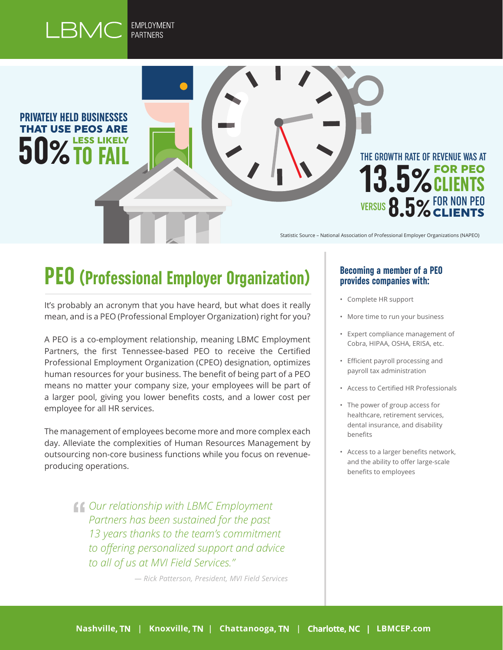# LESS LIKELY 50% TO FAIL **PRIVATELY HELD BUSINESSES** THAT USE PEOS ARE

8.5% FOR NON PEO FOR PEO **CLIENTS** VERSUS THE GROWTH RATE OF REVENUE WAS AT **13.5%** CLIENTS

Statistic Source – National Association of Professional Employer Organizations (NAPEO)

# **PEO (Professional Employer Organization)**

It's probably an acronym that you have heard, but what does it really mean, and is a PEO (Professional Employer Organization) right for you?

A PEO is a co-employment relationship, meaning LBMC Employment Partners, the first Tennessee-based PEO to receive the Certified Professional Employment Organization (CPEO) designation, optimizes human resources for your business. The benefit of being part of a PEO means no matter your company size, your employees will be part of a larger pool, giving you lower benefits costs, and a lower cost per employee for all HR services.

The management of employees become more and more complex each day. Alleviate the complexities of Human Resources Management by outsourcing non-core business functions while you focus on revenueproducing operations.

> **COUR relationship with LBMC Employment**<br>
> Partners has been sustained for the past *Partners has been sustained for the past 13 years thanks to the team's commitment to offering personalized support and advice to all of us at MVI Field Services."*

> > *— Rick Patterson, President, MVI Field Services*

## **Becoming a member of a PEO provides companies with:**

- Complete HR support
- More time to run your business
- Expert compliance management of Cobra, HIPAA, OSHA, ERISA, etc.
- Efficient payroll processing and payroll tax administration
- Access to Certified HR Professionals
- The power of group access for healthcare, retirement services, dental insurance, and disability benefits
- Access to a larger benefits network, and the ability to offer large-scale benefits to employees